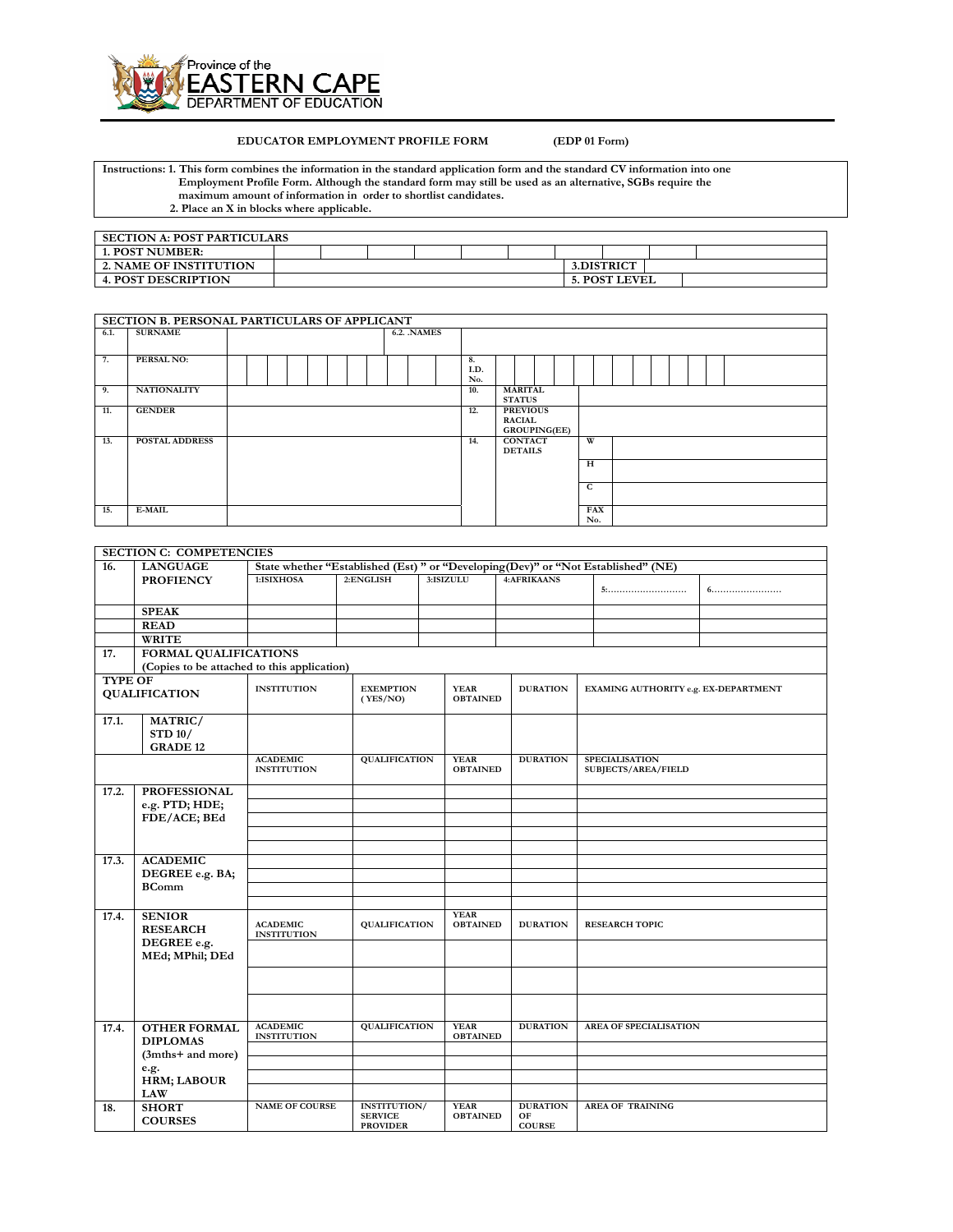

## **EDUCATOR EMPLOYMENT PROFILE FORM (EDP 01 Form)**

**Instructions: 1. This form combines the information in the standard application form and the standard CV information into one Employment Profile Form. Although the standard form may still be used as an alternative, SGBs require the maximum amount of information in order to shortlist candidates. 2. Place an X in blocks where applicable.** 

| <b>SECTION A: POST PARTICULARS</b> |  |  |  |                      |  |
|------------------------------------|--|--|--|----------------------|--|
| 1. POST NUMBER:                    |  |  |  |                      |  |
| <b>2. NAME OF INSTITUTION</b>      |  |  |  | 3.DISTRICT           |  |
| <b>4. POST DESCRIPTION</b>         |  |  |  | <b>5. POST LEVEL</b> |  |

|      | SECTION B. PERSONAL PARTICULARS OF APPLICANT |                    |            |                                                         |                   |  |
|------|----------------------------------------------|--------------------|------------|---------------------------------------------------------|-------------------|--|
| 6.1. | <b>SURNAME</b>                               | <b>6.2. .NAMES</b> |            |                                                         |                   |  |
| 7.   | PERSAL NO:                                   |                    | 8.<br>I.D. |                                                         |                   |  |
|      |                                              |                    | No.        |                                                         |                   |  |
| 9.   | <b>NATIONALITY</b>                           |                    | 10.        | <b>MARITAL</b><br><b>STATUS</b>                         |                   |  |
| 11.  | <b>GENDER</b>                                |                    | 12.        | <b>PREVIOUS</b><br><b>RACIAL</b><br><b>GROUPING(EE)</b> |                   |  |
| 13.  | <b>POSTAL ADDRESS</b>                        |                    | 14.        | <b>CONTACT</b><br><b>DETAILS</b>                        | W                 |  |
|      |                                              |                    |            |                                                         | H                 |  |
|      |                                              |                    |            |                                                         | C                 |  |
| 15.  | <b>E-MAIL</b>                                |                    |            |                                                         | <b>FAX</b><br>No. |  |

|                | <b>SECTION C: COMPETENCIES</b>                                                                        |                                       |                                                          |                                |                                        |                                      |  |
|----------------|-------------------------------------------------------------------------------------------------------|---------------------------------------|----------------------------------------------------------|--------------------------------|----------------------------------------|--------------------------------------|--|
| 16.            | <b>LANGUAGE</b><br>State whether "Established (Est) " or "Developing (Dev)" or "Not Established" (NE) |                                       |                                                          |                                |                                        |                                      |  |
|                | <b>PROFIENCY</b>                                                                                      | 1:ISIXHOSA                            | 2:ENGLISH                                                | 3:ISIZULU                      | <b>4:AFRIKAANS</b>                     | 5:                                   |  |
|                | <b>SPEAK</b>                                                                                          |                                       |                                                          |                                |                                        |                                      |  |
|                | <b>READ</b>                                                                                           |                                       |                                                          |                                |                                        |                                      |  |
|                | <b>WRITE</b>                                                                                          |                                       |                                                          |                                |                                        |                                      |  |
| 17.            | <b>FORMAL QUALIFICATIONS</b>                                                                          |                                       |                                                          |                                |                                        |                                      |  |
|                | (Copies to be attached to this application)                                                           |                                       |                                                          |                                |                                        |                                      |  |
| <b>TYPE OF</b> |                                                                                                       |                                       |                                                          |                                |                                        |                                      |  |
|                | <b>QUALIFICATION</b>                                                                                  | <b>INSTITUTION</b>                    | <b>EXEMPTION</b><br>(YES/NO)                             | <b>YEAR</b><br><b>OBTAINED</b> | <b>DURATION</b>                        | EXAMING AUTHORITY e.g. EX-DEPARTMENT |  |
| 17.1.          | MATRIC/                                                                                               |                                       |                                                          |                                |                                        |                                      |  |
|                | <b>STD 10/</b><br><b>GRADE 12</b>                                                                     |                                       |                                                          |                                |                                        |                                      |  |
|                |                                                                                                       | <b>ACADEMIC</b>                       | QUALIFICATION                                            | <b>YEAR</b>                    | <b>DURATION</b>                        | <b>SPECIALISATION</b>                |  |
|                |                                                                                                       | <b>INSTITUTION</b>                    |                                                          | <b>OBTAINED</b>                |                                        | <b>SUBJECTS/AREA/FIELD</b>           |  |
| 17.2.          | <b>PROFESSIONAL</b>                                                                                   |                                       |                                                          |                                |                                        |                                      |  |
|                | e.g. PTD; HDE;                                                                                        |                                       |                                                          |                                |                                        |                                      |  |
|                | FDE/ACE; BEd                                                                                          |                                       |                                                          |                                |                                        |                                      |  |
|                |                                                                                                       |                                       |                                                          |                                |                                        |                                      |  |
|                |                                                                                                       |                                       |                                                          |                                |                                        |                                      |  |
| 17.3.          | <b>ACADEMIC</b>                                                                                       |                                       |                                                          |                                |                                        |                                      |  |
|                | DEGREE e.g. BA;                                                                                       |                                       |                                                          |                                |                                        |                                      |  |
|                | <b>BComm</b>                                                                                          |                                       |                                                          |                                |                                        |                                      |  |
|                |                                                                                                       |                                       |                                                          |                                |                                        |                                      |  |
| 17.4.          | <b>SENIOR</b><br><b>RESEARCH</b>                                                                      | <b>ACADEMIC</b><br><b>INSTITUTION</b> | QUALIFICATION                                            | <b>YEAR</b><br><b>OBTAINED</b> | <b>DURATION</b>                        | <b>RESEARCH TOPIC</b>                |  |
|                | DEGREE e.g.<br>MEd; MPhil; DEd                                                                        |                                       |                                                          |                                |                                        |                                      |  |
|                |                                                                                                       |                                       |                                                          |                                |                                        |                                      |  |
|                |                                                                                                       |                                       |                                                          |                                |                                        |                                      |  |
| 17.4.          | <b>OTHER FORMAL</b>                                                                                   | <b>ACADEMIC</b>                       | <b>QUALIFICATION</b>                                     | <b>YEAR</b>                    | <b>DURATION</b>                        | <b>AREA OF SPECIALISATION</b>        |  |
|                | <b>DIPLOMAS</b>                                                                                       | <b>INSTITUTION</b>                    |                                                          | <b>OBTAINED</b>                |                                        |                                      |  |
|                | (3mths+ and more)                                                                                     |                                       |                                                          |                                |                                        |                                      |  |
|                | e.g.                                                                                                  |                                       |                                                          |                                |                                        |                                      |  |
|                | <b>HRM; LABOUR</b>                                                                                    |                                       |                                                          |                                |                                        |                                      |  |
|                | <b>LAW</b>                                                                                            |                                       |                                                          |                                |                                        |                                      |  |
| 18.            | <b>SHORT</b><br><b>COURSES</b>                                                                        | <b>NAME OF COURSE</b>                 | <b>INSTITUTION/</b><br><b>SERVICE</b><br><b>PROVIDER</b> | <b>YEAR</b><br><b>OBTAINED</b> | <b>DURATION</b><br>OF<br><b>COURSE</b> | <b>AREA OF TRAINING</b>              |  |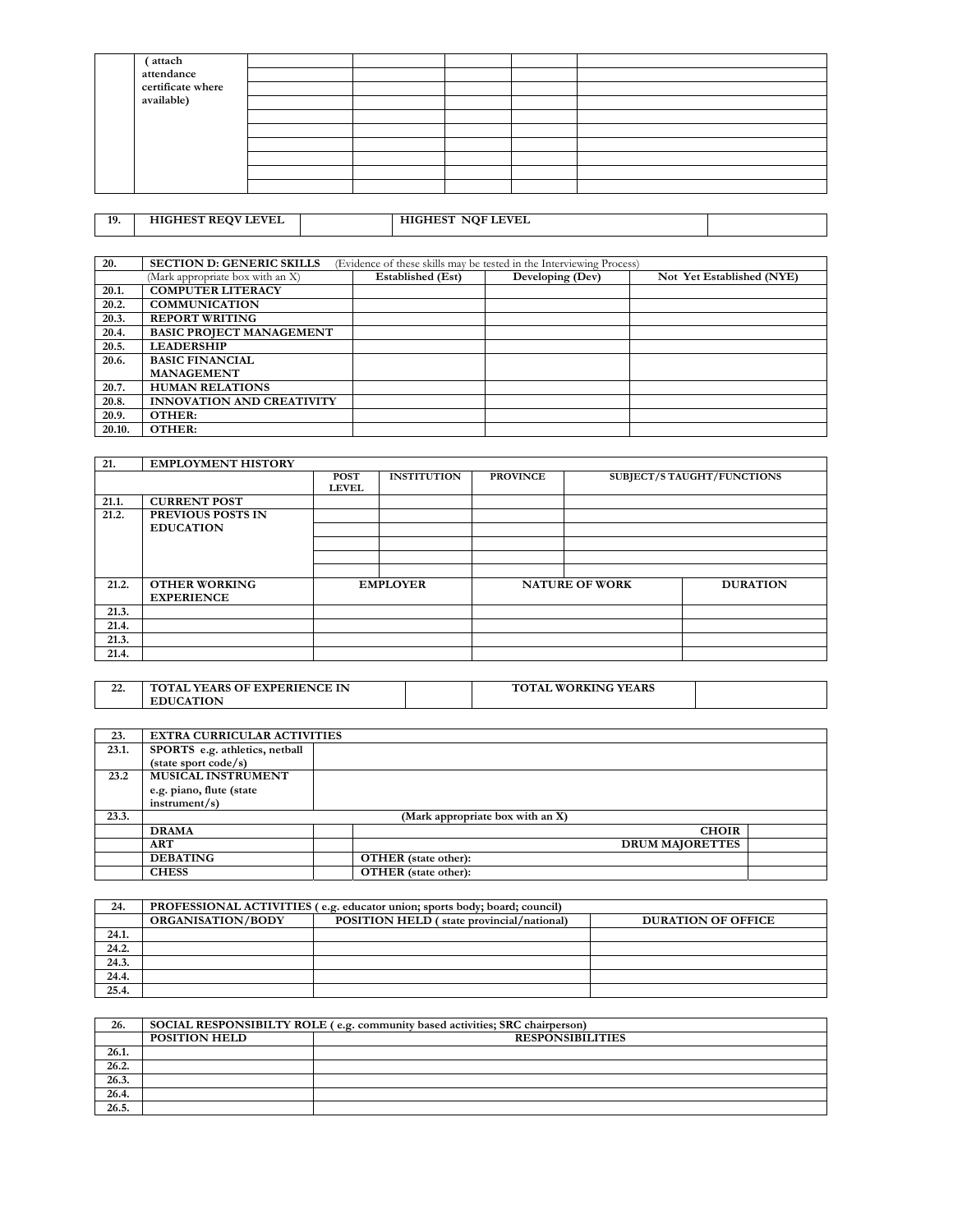| (attach           |  |  |  |
|-------------------|--|--|--|
| attendance        |  |  |  |
| certificate where |  |  |  |
| available)        |  |  |  |
|                   |  |  |  |
|                   |  |  |  |
|                   |  |  |  |
|                   |  |  |  |
|                   |  |  |  |
|                   |  |  |  |

19. HIGHEST REQV LEVEL **HIGHEST NQF LEVEL** 

| 20.    | <b>SECTION D: GENERIC SKILLS</b> |                          | (Evidence of these skills may be tested in the Interviewing Process) |                           |
|--------|----------------------------------|--------------------------|----------------------------------------------------------------------|---------------------------|
|        | (Mark appropriate box with an X) | <b>Established</b> (Est) | Developing (Dev)                                                     | Not Yet Established (NYE) |
| 20.1.  | <b>COMPUTER LITERACY</b>         |                          |                                                                      |                           |
| 20.2.  | <b>COMMUNICATION</b>             |                          |                                                                      |                           |
| 20.3.  | <b>REPORT WRITING</b>            |                          |                                                                      |                           |
| 20.4.  | <b>BASIC PROJECT MANAGEMENT</b>  |                          |                                                                      |                           |
| 20.5.  | <b>LEADERSHIP</b>                |                          |                                                                      |                           |
| 20.6.  | <b>BASIC FINANCIAL</b>           |                          |                                                                      |                           |
|        | <b>MANAGEMENT</b>                |                          |                                                                      |                           |
| 20.7.  | <b>HUMAN RELATIONS</b>           |                          |                                                                      |                           |
| 20.8.  | <b>INNOVATION AND CREATIVITY</b> |                          |                                                                      |                           |
| 20.9.  | OTHER:                           |                          |                                                                      |                           |
| 20.10. | OTHER:                           |                          |                                                                      |                           |

| 21.   | <b>EMPLOYMENT HISTORY</b> |              |                    |                 |                       |                                   |
|-------|---------------------------|--------------|--------------------|-----------------|-----------------------|-----------------------------------|
|       |                           | <b>POST</b>  | <b>INSTITUTION</b> | <b>PROVINCE</b> |                       | <b>SUBJECT/S TAUGHT/FUNCTIONS</b> |
|       |                           | <b>LEVEL</b> |                    |                 |                       |                                   |
| 21.1. | <b>CURRENT POST</b>       |              |                    |                 |                       |                                   |
| 21.2. | <b>PREVIOUS POSTS IN</b>  |              |                    |                 |                       |                                   |
|       | <b>EDUCATION</b>          |              |                    |                 |                       |                                   |
|       |                           |              |                    |                 |                       |                                   |
|       |                           |              |                    |                 |                       |                                   |
|       |                           |              |                    |                 |                       |                                   |
| 21.2. | <b>OTHER WORKING</b>      |              | <b>EMPLOYER</b>    |                 | <b>NATURE OF WORK</b> | <b>DURATION</b>                   |
|       | <b>EXPERIENCE</b>         |              |                    |                 |                       |                                   |
| 21.3. |                           |              |                    |                 |                       |                                   |
| 21.4. |                           |              |                    |                 |                       |                                   |
| 21.3. |                           |              |                    |                 |                       |                                   |
| 21.4. |                           |              |                    |                 |                       |                                   |

| $\sim$<br>44. | <b>TOTAL YEARS OF EXPERIENCE IN</b> | <b>TOTAL WORKING</b><br><b>YEARS</b> |  |
|---------------|-------------------------------------|--------------------------------------|--|
|               | <b>EDUCATION</b>                    |                                      |  |

| 23.   | <b>EXTRA CURRICULAR ACTIVITIES</b> |                                  |  |
|-------|------------------------------------|----------------------------------|--|
| 23.1. | SPORTS e.g. athletics, netball     |                                  |  |
|       | $(\text{state sport code/s})$      |                                  |  |
| 23.2  | MUSICAL INSTRUMENT                 |                                  |  |
|       | e.g. piano, flute (state           |                                  |  |
|       | instrument/s)                      |                                  |  |
| 23.3. |                                    | (Mark appropriate box with an X) |  |
|       | <b>DRAMA</b>                       | <b>CHOIR</b>                     |  |
|       | <b>ART</b>                         | <b>DRUM MAJORETTES</b>           |  |
|       | <b>DEBATING</b>                    | <b>OTHER</b> (state other):      |  |
|       | <b>CHESS</b>                       | OTHER (state other):             |  |

| 24.   |                          | PROFESSIONAL ACTIVITIES (e.g. educator union; sports body; board; council) |                           |
|-------|--------------------------|----------------------------------------------------------------------------|---------------------------|
|       | <b>ORGANISATION/BODY</b> | POSITION HELD (state provincial/national)                                  | <b>DURATION OF OFFICE</b> |
| 24.1. |                          |                                                                            |                           |
| 24.2. |                          |                                                                            |                           |
| 24.3. |                          |                                                                            |                           |
| 24.4. |                          |                                                                            |                           |
| 25.4. |                          |                                                                            |                           |

| 26.                 |                      | SOCIAL RESPONSIBILTY ROLE (e.g. community based activities; SRC chairperson) |
|---------------------|----------------------|------------------------------------------------------------------------------|
|                     | <b>POSITION HELD</b> | <b>RESPONSIBILITIES</b>                                                      |
| 26.1.               |                      |                                                                              |
| $\overline{26.2}$ . |                      |                                                                              |
| 26.3.               |                      |                                                                              |
| 26.4.               |                      |                                                                              |
| 26.5.               |                      |                                                                              |